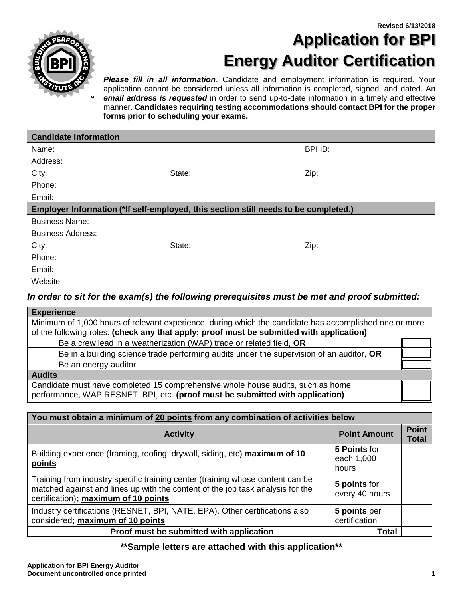

# **Revised 6/13/2018 Application for BPI Energy Auditor Certification**

*Please fill in all information*. Candidate and employment information is required. Your application cannot be considered unless all information is completed, signed, and dated. An *email address is requested* in order to send up-to-date information in a timely and effective manner. **Candidates requiring testing accommodations should contact BPI for the proper forms prior to scheduling your exams.**

| <b>Candidate Information</b>                                                                 |        |         |
|----------------------------------------------------------------------------------------------|--------|---------|
| Name:                                                                                        |        | BPI ID: |
| Address:                                                                                     |        |         |
| City:                                                                                        | State: | Zip:    |
| Phone:                                                                                       |        |         |
| Email:                                                                                       |        |         |
| Employer Information (*If self-employed, this section still needs to be completed.)          |        |         |
| <b>Business Name:</b>                                                                        |        |         |
| <b>Business Address:</b>                                                                     |        |         |
| City:                                                                                        | State: | Zip:    |
| Phone:                                                                                       |        |         |
| Email:                                                                                       |        |         |
| Website:                                                                                     |        |         |
| In order to sit for the exam(s) the following prerequisites must be met and proof submitted: |        |         |

| <b>Experience</b>                                                                                                                                                |  |  |
|------------------------------------------------------------------------------------------------------------------------------------------------------------------|--|--|
| Minimum of 1,000 hours of relevant experience, during which the candidate has accomplished one or more                                                           |  |  |
| of the following roles: (check any that apply; proof must be submitted with application)                                                                         |  |  |
| Be a crew lead in a weatherization (WAP) trade or related field, OR                                                                                              |  |  |
| Be in a building science trade performing audits under the supervision of an auditor, OR                                                                         |  |  |
| Be an energy auditor                                                                                                                                             |  |  |
| <b>Audits</b>                                                                                                                                                    |  |  |
| Candidate must have completed 15 comprehensive whole house audits, such as home<br>performance, WAP RESNET, BPI, etc. (proof must be submitted with application) |  |  |

| You must obtain a minimum of 20 points from any combination of activities below                                                                                                                          |                                     |                              |  |
|----------------------------------------------------------------------------------------------------------------------------------------------------------------------------------------------------------|-------------------------------------|------------------------------|--|
| <b>Activity</b>                                                                                                                                                                                          | <b>Point Amount</b>                 | <b>Point</b><br><b>Total</b> |  |
| Building experience (framing, roofing, drywall, siding, etc) maximum of 10<br>points                                                                                                                     | 5 Points for<br>each 1,000<br>hours |                              |  |
| Training from industry specific training center (training whose content can be<br>matched against and lines up with the content of the job task analysis for the<br>certification); maximum of 10 points | 5 points for<br>every 40 hours      |                              |  |
| Industry certifications (RESNET, BPI, NATE, EPA). Other certifications also<br>considered; maximum of 10 points                                                                                          | 5 points per<br>certification       |                              |  |
| Proof must be submitted with application                                                                                                                                                                 | <b>Total</b>                        |                              |  |

### **\*\*Sample letters are attached with this application\*\***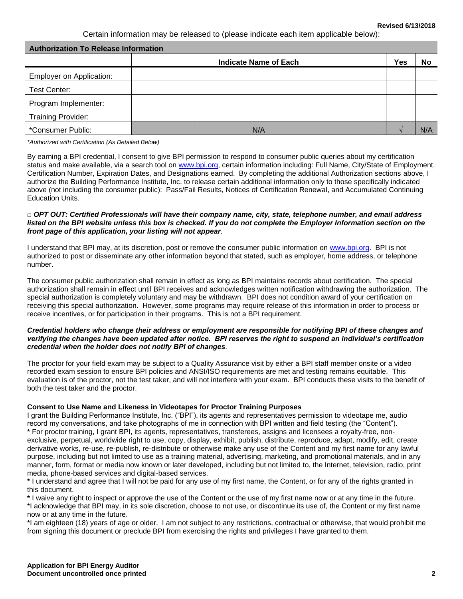#### **Revised 6/13/2018**

Certain information may be released to (please indicate each item applicable below):

| <b>Authorization To Release Information</b> |                              |            |            |
|---------------------------------------------|------------------------------|------------|------------|
|                                             | <b>Indicate Name of Each</b> | <b>Yes</b> | No         |
| <b>Employer on Application:</b>             |                              |            |            |
| Test Center:                                |                              |            |            |
| Program Implementer:                        |                              |            |            |
| <b>Training Provider:</b>                   |                              |            |            |
| *Consumer Public:                           | <b>N/A</b>                   |            | <b>N/A</b> |

*\*Authorized with Certification (As Detailed Below)*

By earning a BPI credential, I consent to give BPI permission to respond to consumer public queries about my certification status and make available, via a search tool on [www.bpi.org,](http://www.bpi.org/) certain information including: Full Name, City/State of Employment, Certification Number, Expiration Dates, and Designations earned. By completing the additional Authorization sections above, I authorize the Building Performance Institute, Inc. to release certain additional information only to those specifically indicated above (not including the consumer public): Pass/Fail Results, Notices of Certification Renewal, and Accumulated Continuing Education Units.

#### □ *OPT OUT: Certified Professionals will have their company name, city, state, telephone number, and email address listed on the BPI website unless this box is checked. If you do not complete the Employer Information section on the front page of this application, your listing will not appear.*

I understand that BPI may, at its discretion, post or remove the consumer public information on [www.bpi.org.](http://www.bpi.org/) BPI is not authorized to post or disseminate any other information beyond that stated, such as employer, home address, or telephone number.

The consumer public authorization shall remain in effect as long as BPI maintains records about certification. The special authorization shall remain in effect until BPI receives and acknowledges written notification withdrawing the authorization. The special authorization is completely voluntary and may be withdrawn. BPI does not condition award of your certification on receiving this special authorization. However, some programs may require release of this information in order to process or receive incentives, or for participation in their programs. This is not a BPI requirement.

#### *Credential holders who change their address or employment are responsible for notifying BPI of these changes and verifying the changes have been updated after notice. BPI reserves the right to suspend an individual's certification credential when the holder does not notify BPI of changes.*

The proctor for your field exam may be subject to a Quality Assurance visit by either a BPI staff member onsite or a video recorded exam session to ensure BPI policies and ANSI/ISO requirements are met and testing remains equitable. This evaluation is of the proctor, not the test taker, and will not interfere with your exam. BPI conducts these visits to the benefit of both the test taker and the proctor.

#### **Consent to Use Name and Likeness in Videotapes for Proctor Training Purposes**

I grant the Building Performance Institute, Inc. ("BPI"), its agents and representatives permission to videotape me, audio record my conversations, and take photographs of me in connection with BPI written and field testing (the "Content"). \* For proctor training, I grant BPI, its agents, representatives, transferees, assigns and licensees a royalty-free, nonexclusive, perpetual, worldwide right to use, copy, display, exhibit, publish, distribute, reproduce, adapt, modify, edit, create derivative works, re-use, re-publish, re-distribute or otherwise make any use of the Content and my first name for any lawful purpose, including but not limited to use as a training material, advertising, marketing, and promotional materials, and in any manner, form, format or media now known or later developed, including but not limited to, the Internet, television, radio, print media, phone-based services and digital-based services.

**\*** I understand and agree that I will not be paid for any use of my first name, the Content, or for any of the rights granted in this document.

**\*** I waive any right to inspect or approve the use of the Content or the use of my first name now or at any time in the future. \*I acknowledge that BPI may, in its sole discretion, choose to not use, or discontinue its use of, the Content or my first name now or at any time in the future.

\*I am eighteen (18) years of age or older. I am not subject to any restrictions, contractual or otherwise, that would prohibit me from signing this document or preclude BPI from exercising the rights and privileges I have granted to them.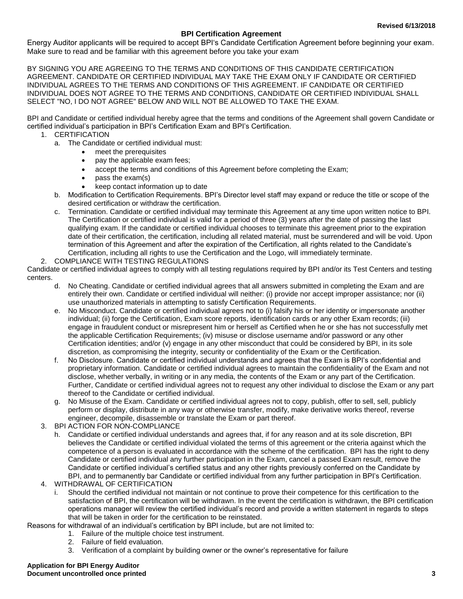#### **BPI Certification Agreement**

Energy Auditor applicants will be required to accept BPI's Candidate Certification Agreement before beginning your exam. Make sure to read and be familiar with this agreement before you take your exam

BY SIGNING YOU ARE AGREEING TO THE TERMS AND CONDITIONS OF THIS CANDIDATE CERTIFICATION AGREEMENT. CANDIDATE OR CERTIFIED INDIVIDUAL MAY TAKE THE EXAM ONLY IF CANDIDATE OR CERTIFIED INDIVIDUAL AGREES TO THE TERMS AND CONDITIONS OF THIS AGREEMENT. IF CANDIDATE OR CERTIFIED INDIVIDUAL DOES NOT AGREE TO THE TERMS AND CONDITIONS, CANDIDATE OR CERTIFIED INDIVIDUAL SHALL SELECT "NO, I DO NOT AGREE" BELOW AND WILL NOT BE ALLOWED TO TAKE THE EXAM.

BPI and Candidate or certified individual hereby agree that the terms and conditions of the Agreement shall govern Candidate or certified individual's participation in BPI's Certification Exam and BPI's Certification.

- 1. CERTIFICATION
	- a. The Candidate or certified individual must:
		- meet the prerequisites
		- pay the applicable exam fees;
		- accept the terms and conditions of this Agreement before completing the Exam;
		- pass the exam(s)
		- keep contact information up to date
	- b. Modification to Certification Requirements. BPI's Director level staff may expand or reduce the title or scope of the desired certification or withdraw the certification.
	- c. Termination. Candidate or certified individual may terminate this Agreement at any time upon written notice to BPI. The Certification or certified individual is valid for a period of three (3) years after the date of passing the last qualifying exam. If the candidate or certified individual chooses to terminate this agreement prior to the expiration date of their certification, the certification, including all related material, must be surrendered and will be void. Upon termination of this Agreement and after the expiration of the Certification, all rights related to the Candidate's Certification, including all rights to use the Certification and the Logo, will immediately terminate.
- 2. COMPLIANCE WITH TESTING REGULATIONS

Candidate or certified individual agrees to comply with all testing regulations required by BPI and/or its Test Centers and testing centers.

- d. No Cheating. Candidate or certified individual agrees that all answers submitted in completing the Exam and are entirely their own. Candidate or certified individual will neither: (i) provide nor accept improper assistance; nor (ii) use unauthorized materials in attempting to satisfy Certification Requirements.
- e. No Misconduct. Candidate or certified individual agrees not to (i) falsify his or her identity or impersonate another individual; (ii) forge the Certification, Exam score reports, identification cards or any other Exam records; (iii) engage in fraudulent conduct or misrepresent him or herself as Certified when he or she has not successfully met the applicable Certification Requirements; (iv) misuse or disclose username and/or password or any other Certification identities; and/or (v) engage in any other misconduct that could be considered by BPI, in its sole discretion, as compromising the integrity, security or confidentiality of the Exam or the Certification.
- f. No Disclosure. Candidate or certified individual understands and agrees that the Exam is BPI's confidential and proprietary information. Candidate or certified individual agrees to maintain the confidentiality of the Exam and not disclose, whether verbally, in writing or in any media, the contents of the Exam or any part of the Certification. Further, Candidate or certified individual agrees not to request any other individual to disclose the Exam or any part thereof to the Candidate or certified individual.
- g. No Misuse of the Exam. Candidate or certified individual agrees not to copy, publish, offer to sell, sell, publicly perform or display, distribute in any way or otherwise transfer, modify, make derivative works thereof, reverse engineer, decompile, disassemble or translate the Exam or part thereof.
- 3. BPI ACTION FOR NON-COMPLIANCE
	- h. Candidate or certified individual understands and agrees that, if for any reason and at its sole discretion, BPI believes the Candidate or certified individual violated the terms of this agreement or the criteria against which the competence of a person is evaluated in accordance with the scheme of the certification. BPI has the right to deny Candidate or certified individual any further participation in the Exam, cancel a passed Exam result, remove the Candidate or certified individual's certified status and any other rights previously conferred on the Candidate by BPI, and to permanently bar Candidate or certified individual from any further participation in BPI's Certification.
- 4. WITHDRAWAL OF CERTIFICATION
	- i. Should the certified individual not maintain or not continue to prove their competence for this certification to the satisfaction of BPI, the certification will be withdrawn. In the event the certification is withdrawn, the BPI certification operations manager will review the certified individual's record and provide a written statement in regards to steps that will be taken in order for the certification to be reinstated.

Reasons for withdrawal of an individual's certification by BPI include, but are not limited to:

- 1. Failure of the multiple choice test instrument.
- 2. Failure of field evaluation.
- 3. Verification of a complaint by building owner or the owner's representative for failure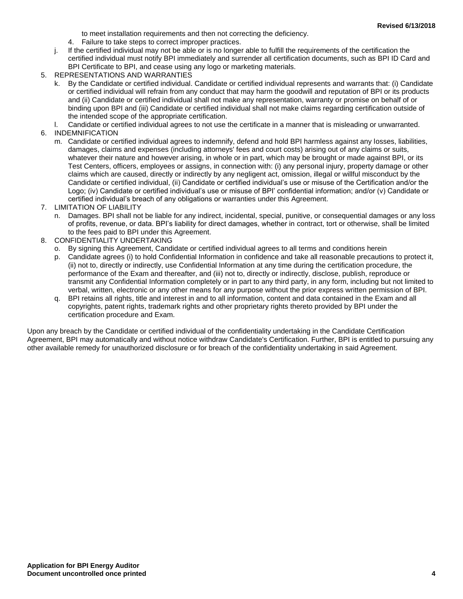to meet installation requirements and then not correcting the deficiency.

- 4. Failure to take steps to correct improper practices.
- j. If the certified individual may not be able or is no longer able to fulfill the requirements of the certification the certified individual must notify BPI immediately and surrender all certification documents, such as BPI ID Card and BPI Certificate to BPI, and cease using any logo or marketing materials.
- 5. REPRESENTATIONS AND WARRANTIES
	- k. By the Candidate or certified individual. Candidate or certified individual represents and warrants that: (i) Candidate or certified individual will refrain from any conduct that may harm the goodwill and reputation of BPI or its products and (ii) Candidate or certified individual shall not make any representation, warranty or promise on behalf of or binding upon BPI and (iii) Candidate or certified individual shall not make claims regarding certification outside of the intended scope of the appropriate certification.
- l. Candidate or certified individual agrees to not use the certificate in a manner that is misleading or unwarranted.
- 6. INDEMNIFICATION
	- m. Candidate or certified individual agrees to indemnify, defend and hold BPI harmless against any losses, liabilities, damages, claims and expenses (including attorneys' fees and court costs) arising out of any claims or suits, whatever their nature and however arising, in whole or in part, which may be brought or made against BPI, or its Test Centers, officers, employees or assigns, in connection with: (i) any personal injury, property damage or other claims which are caused, directly or indirectly by any negligent act, omission, illegal or willful misconduct by the Candidate or certified individual, (ii) Candidate or certified individual's use or misuse of the Certification and/or the Logo; (iv) Candidate or certified individual's use or misuse of BPI' confidential information; and/or (v) Candidate or certified individual's breach of any obligations or warranties under this Agreement.
- 7. LIMITATION OF LIABILITY
	- n. Damages. BPI shall not be liable for any indirect, incidental, special, punitive, or consequential damages or any loss of profits, revenue, or data. BPI's liability for direct damages, whether in contract, tort or otherwise, shall be limited to the fees paid to BPI under this Agreement.
- 8. CONFIDENTIALITY UNDERTAKING
	- o. By signing this Agreement, Candidate or certified individual agrees to all terms and conditions herein
	- p. Candidate agrees (i) to hold Confidential Information in confidence and take all reasonable precautions to protect it, (ii) not to, directly or indirectly, use Confidential Information at any time during the certification procedure, the performance of the Exam and thereafter, and (iii) not to, directly or indirectly, disclose, publish, reproduce or transmit any Confidential Information completely or in part to any third party, in any form, including but not limited to verbal, written, electronic or any other means for any purpose without the prior express written permission of BPI.
	- q. BPI retains all rights, title and interest in and to all information, content and data contained in the Exam and all copyrights, patent rights, trademark rights and other proprietary rights thereto provided by BPI under the certification procedure and Exam.

Upon any breach by the Candidate or certified individual of the confidentiality undertaking in the Candidate Certification Agreement, BPI may automatically and without notice withdraw Candidate's Certification. Further, BPI is entitled to pursuing any other available remedy for unauthorized disclosure or for breach of the confidentiality undertaking in said Agreement.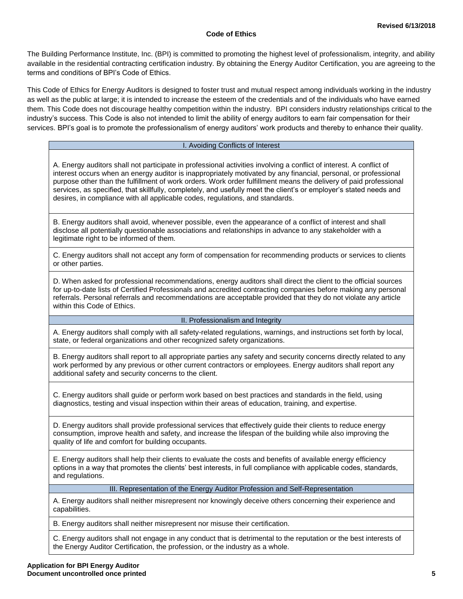#### **Code of Ethics**

The Building Performance Institute, Inc. (BPI) is committed to promoting the highest level of professionalism, integrity, and ability available in the residential contracting certification industry. By obtaining the Energy Auditor Certification, you are agreeing to the terms and conditions of BPI's Code of Ethics.

This Code of Ethics for Energy Auditors is designed to foster trust and mutual respect among individuals working in the industry as well as the public at large; it is intended to increase the esteem of the credentials and of the individuals who have earned them. This Code does not discourage healthy competition within the industry. BPI considers industry relationships critical to the industry's success. This Code is also not intended to limit the ability of energy auditors to earn fair compensation for their services. BPI's goal is to promote the professionalism of energy auditors' work products and thereby to enhance their quality.

#### I. Avoiding Conflicts of Interest

A. Energy auditors shall not participate in professional activities involving a conflict of interest. A conflict of interest occurs when an energy auditor is inappropriately motivated by any financial, personal, or professional purpose other than the fulfillment of work orders. Work order fulfillment means the delivery of paid professional services, as specified, that skillfully, completely, and usefully meet the client's or employer's stated needs and desires, in compliance with all applicable codes, regulations, and standards.

B. Energy auditors shall avoid, whenever possible, even the appearance of a conflict of interest and shall disclose all potentially questionable associations and relationships in advance to any stakeholder with a legitimate right to be informed of them.

C. Energy auditors shall not accept any form of compensation for recommending products or services to clients or other parties.

D. When asked for professional recommendations, energy auditors shall direct the client to the official sources for up-to-date lists of Certified Professionals and accredited contracting companies before making any personal referrals. Personal referrals and recommendations are acceptable provided that they do not violate any article within this Code of Ethics.

#### II. Professionalism and Integrity

A. Energy auditors shall comply with all safety-related regulations, warnings, and instructions set forth by local, state, or federal organizations and other recognized safety organizations.

B. Energy auditors shall report to all appropriate parties any safety and security concerns directly related to any work performed by any previous or other current contractors or employees. Energy auditors shall report any additional safety and security concerns to the client.

C. Energy auditors shall guide or perform work based on best practices and standards in the field, using diagnostics, testing and visual inspection within their areas of education, training, and expertise.

D. Energy auditors shall provide professional services that effectively guide their clients to reduce energy consumption, improve health and safety, and increase the lifespan of the building while also improving the quality of life and comfort for building occupants.

E. Energy auditors shall help their clients to evaluate the costs and benefits of available energy efficiency options in a way that promotes the clients' best interests, in full compliance with applicable codes, standards, and regulations.

III. Representation of the Energy Auditor Profession and Self-Representation

A. Energy auditors shall neither misrepresent nor knowingly deceive others concerning their experience and capabilities.

B. Energy auditors shall neither misrepresent nor misuse their certification.

C. Energy auditors shall not engage in any conduct that is detrimental to the reputation or the best interests of the Energy Auditor Certification, the profession, or the industry as a whole.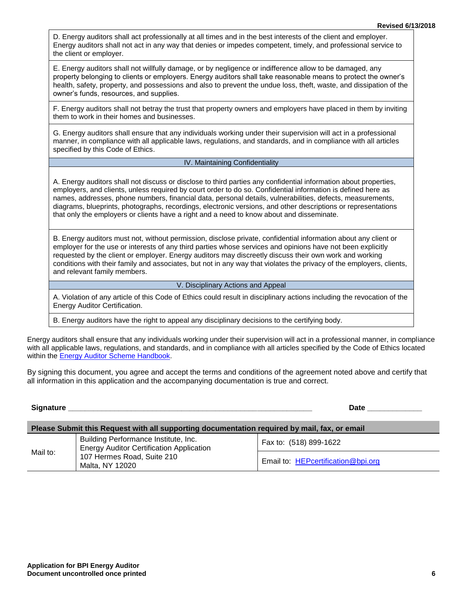D. Energy auditors shall act professionally at all times and in the best interests of the client and employer. Energy auditors shall not act in any way that denies or impedes competent, timely, and professional service to the client or employer.

E. Energy auditors shall not willfully damage, or by negligence or indifference allow to be damaged, any property belonging to clients or employers. Energy auditors shall take reasonable means to protect the owner's health, safety, property, and possessions and also to prevent the undue loss, theft, waste, and dissipation of the owner's funds, resources, and supplies.

F. Energy auditors shall not betray the trust that property owners and employers have placed in them by inviting them to work in their homes and businesses.

G. Energy auditors shall ensure that any individuals working under their supervision will act in a professional manner, in compliance with all applicable laws, regulations, and standards, and in compliance with all articles specified by this Code of Ethics.

#### IV. Maintaining Confidentiality

A. Energy auditors shall not discuss or disclose to third parties any confidential information about properties, employers, and clients, unless required by court order to do so. Confidential information is defined here as names, addresses, phone numbers, financial data, personal details, vulnerabilities, defects, measurements, diagrams, blueprints, photographs, recordings, electronic versions, and other descriptions or representations that only the employers or clients have a right and a need to know about and disseminate.

B. Energy auditors must not, without permission, disclose private, confidential information about any client or employer for the use or interests of any third parties whose services and opinions have not been explicitly requested by the client or employer. Energy auditors may discreetly discuss their own work and working conditions with their family and associates, but not in any way that violates the privacy of the employers, clients, and relevant family members.

#### V. Disciplinary Actions and Appeal

A. Violation of any article of this Code of Ethics could result in disciplinary actions including the revocation of the Energy Auditor Certification.

B. Energy auditors have the right to appeal any disciplinary decisions to the certifying body.

Energy auditors shall ensure that any individuals working under their supervision will act in a professional manner, in compliance with all applicable laws, regulations, and standards, and in compliance with all articles specified by the Code of Ethics located within the **Energy Auditor Scheme Handbook.** 

By signing this document, you agree and accept the terms and conditions of the agreement noted above and certify that all information in this application and the accompanying documentation is true and correct.

#### **Signature \_\_\_\_\_\_\_\_\_\_\_\_\_\_\_\_\_\_\_\_\_\_\_\_\_\_\_\_\_\_\_\_\_\_\_\_\_\_\_\_\_\_\_\_\_\_\_\_\_\_\_\_\_\_\_\_\_\_ Date \_\_\_\_\_\_\_\_\_\_\_\_\_**

| Please Submit this Request with all supporting documentation required by mail, fax, or email |                                                                                         |                                    |  |
|----------------------------------------------------------------------------------------------|-----------------------------------------------------------------------------------------|------------------------------------|--|
|                                                                                              | Building Performance Institute, Inc.<br><b>Energy Auditor Certification Application</b> | Fax to: (518) 899-1622             |  |
| Mail to:                                                                                     | 107 Hermes Road, Suite 210<br>Malta, NY 12020                                           | Email to: HEPcertification@bpi.org |  |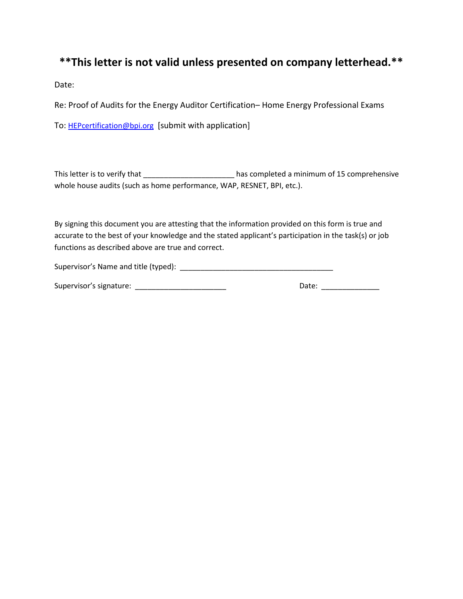## **\*\*This letter is not valid unless presented on company letterhead.\*\***

Date:

Re: Proof of Audits for the Energy Auditor Certification– Home Energy Professional Exams

To: HEPcertification@bpi.org [submit with application]

This letter is to verify that \_\_\_\_\_\_\_\_\_\_\_\_\_\_\_\_\_\_\_\_\_\_\_\_\_ has completed a minimum of 15 comprehensive whole house audits (such as home performance, WAP, RESNET, BPI, etc.).

By signing this document you are attesting that the information provided on this form is true and accurate to the best of your knowledge and the stated applicant's participation in the task(s) or job functions as described above are true and correct.

| Supervisor's Name and title (typed): |  |
|--------------------------------------|--|
|--------------------------------------|--|

| Supervisor's signature: | Date: |  |
|-------------------------|-------|--|
|                         |       |  |

| Date: |
|-------|
|-------|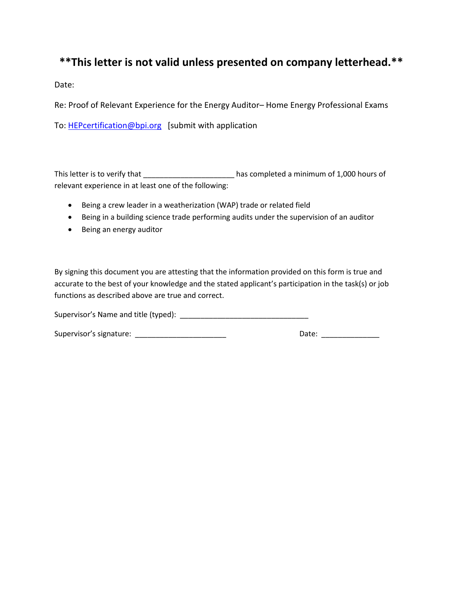## **\*\*This letter is not valid unless presented on company letterhead.\*\***

Date:

Re: Proof of Relevant Experience for the Energy Auditor– Home Energy Professional Exams

To: HEPcertification@bpi.org [submit with application

This letter is to verify that \_\_\_\_\_\_\_\_\_\_\_\_\_\_\_\_\_\_\_\_\_\_\_\_\_\_ has completed a minimum of 1,000 hours of relevant experience in at least one of the following:

- Being a crew leader in a weatherization (WAP) trade or related field
- Being in a building science trade performing audits under the supervision of an auditor
- Being an energy auditor

By signing this document you are attesting that the information provided on this form is true and accurate to the best of your knowledge and the stated applicant's participation in the task(s) or job functions as described above are true and correct.

Supervisor's Name and title (typed): \_\_\_\_\_\_\_\_\_\_\_\_\_\_\_\_\_\_\_\_\_\_\_\_\_\_\_\_\_\_\_

Supervisor's signature: \_\_\_\_\_\_\_\_\_\_\_\_\_\_\_\_\_\_\_\_\_\_ Date: \_\_\_\_\_\_\_\_\_\_\_\_\_\_